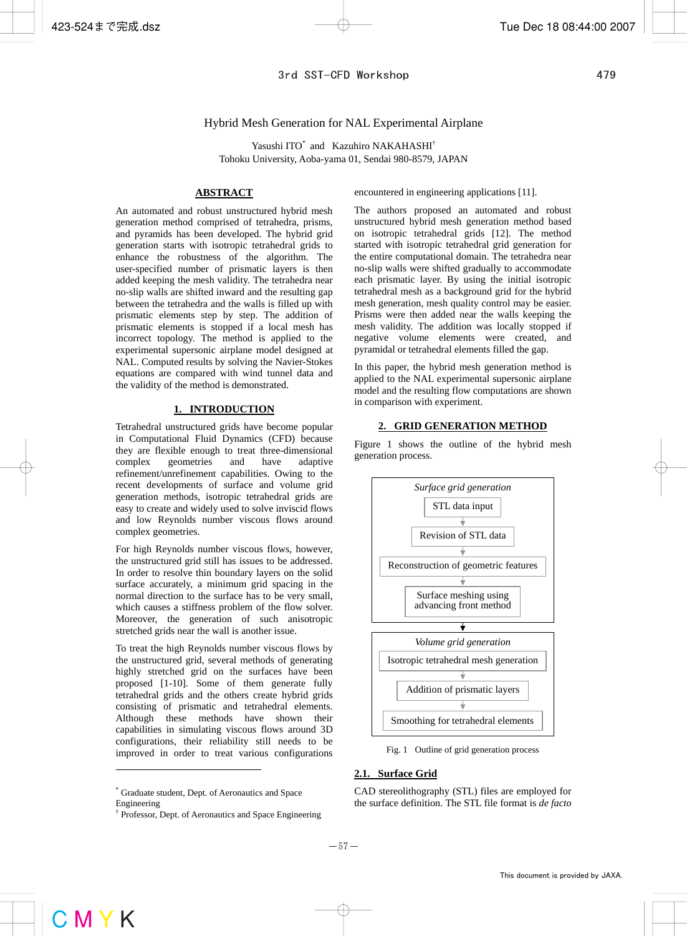## Hybrid Mesh Generation for NAL Experimental Airplane

Yasushi ITO\* and Kazuhiro NAKAHASHI<sup>†</sup> Tohoku University, Aoba-yama 01, Sendai 980-8579, JAPAN

## **ABSTRACT**

An automated and robust unstructured hybrid mesh generation method comprised of tetrahedra, prisms, and pyramids has been developed. The hybrid grid generation starts with isotropic tetrahedral grids to enhance the robustness of the algorithm. The user-specified number of prismatic layers is then added keeping the mesh validity. The tetrahedra near no-slip walls are shifted inward and the resulting gap between the tetrahedra and the walls is filled up with prismatic elements step by step. The addition of prismatic elements is stopped if a local mesh has incorrect topology. The method is applied to the experimental supersonic airplane model designed at NAL. Computed results by solving the Navier-Stokes equations are compared with wind tunnel data and the validity of the method is demonstrated.

#### **1. INTRODUCTION**

Tetrahedral unstructured grids have become popular in Computational Fluid Dynamics (CFD) because they are flexible enough to treat three-dimensional complex geometries and have adaptive refinement/unrefinement capabilities. Owing to the recent developments of surface and volume grid generation methods, isotropic tetrahedral grids are easy to create and widely used to solve inviscid flows and low Reynolds number viscous flows around complex geometries.

For high Reynolds number viscous flows, however, the unstructured grid still has issues to be addressed. In order to resolve thin boundary layers on the solid surface accurately, a minimum grid spacing in the normal direction to the surface has to be very small, which causes a stiffness problem of the flow solver. Moreover, the generation of such anisotropic stretched grids near the wall is another issue.

To treat the high Reynolds number viscous flows by the unstructured grid, several methods of generating highly stretched grid on the surfaces have been proposed [1-10]. Some of them generate fully tetrahedral grids and the others create hybrid grids consisting of prismatic and tetrahedral elements. Although these methods have shown their capabilities in simulating viscous flows around 3D configurations, their reliability still needs to be improved in order to treat various configurations

 $\overline{\phantom{a}}$ 

encountered in engineering applications [11].

The authors proposed an automated and robust unstructured hybrid mesh generation method based on isotropic tetrahedral grids [12]. The method started with isotropic tetrahedral grid generation for the entire computational domain. The tetrahedra near no-slip walls were shifted gradually to accommodate each prismatic layer. By using the initial isotropic tetrahedral mesh as a background grid for the hybrid mesh generation, mesh quality control may be easier. Prisms were then added near the walls keeping the mesh validity. The addition was locally stopped if negative volume elements were created, and pyramidal or tetrahedral elements filled the gap.

In this paper, the hybrid mesh generation method is applied to the NAL experimental supersonic airplane model and the resulting flow computations are shown in comparison with experiment.

### **2. GRID GENERATION METHOD**

Figure 1 shows the outline of the hybrid mesh generation process.



Fig. 1 Outline of grid generation process

#### **2.1. Surface Grid**

CAD stereolithography (STL) files are employed for the surface definition. The STL file format is *de facto*

<sup>\*</sup> Graduate student, Dept. of Aeronautics and Space Engineering

<sup>†</sup> Professor, Dept. of Aeronautics and Space Engineering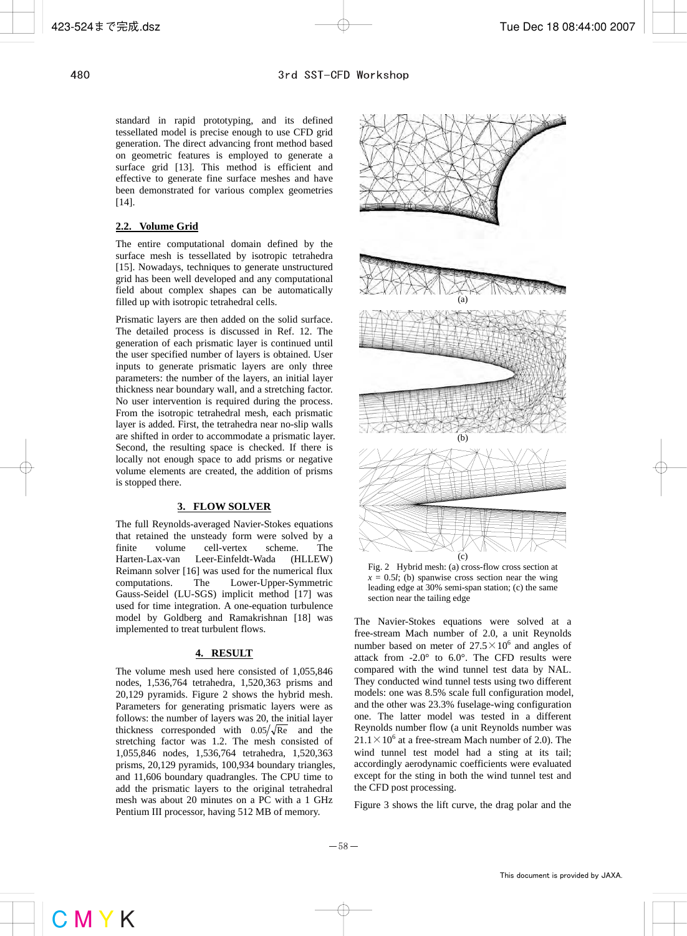standard in rapid prototyping, and its defined tessellated model is precise enough to use CFD grid generation. The direct advancing front method based on geometric features is employed to generate a surface grid [13]. This method is efficient and effective to generate fine surface meshes and have been demonstrated for various complex geometries [14].

# **2.2. Volume Grid**

The entire computational domain defined by the surface mesh is tessellated by isotropic tetrahedra [15]. Nowadays, techniques to generate unstructured grid has been well developed and any computational field about complex shapes can be automatically filled up with isotropic tetrahedral cells.

Prismatic layers are then added on the solid surface. The detailed process is discussed in Ref. 12. The generation of each prismatic layer is continued until the user specified number of layers is obtained. User inputs to generate prismatic layers are only three parameters: the number of the layers, an initial layer thickness near boundary wall, and a stretching factor. No user intervention is required during the process. From the isotropic tetrahedral mesh, each prismatic layer is added. First, the tetrahedra near no-slip walls are shifted in order to accommodate a prismatic layer. Second, the resulting space is checked. If there is locally not enough space to add prisms or negative volume elements are created, the addition of prisms is stopped there.

### **3. FLOW SOLVER**

The full Reynolds-averaged Navier-Stokes equations that retained the unsteady form were solved by a finite volume cell-vertex scheme. The Harten-Lax-van Leer-Einfeldt-Wada (HLLEW) Reimann solver [16] was used for the numerical flux computations. The Lower-Upper-Symmetric Gauss-Seidel (LU-SGS) implicit method [17] was used for time integration. A one-equation turbulence model by Goldberg and Ramakrishnan [18] was implemented to treat turbulent flows.

# **4. RESULT**

The volume mesh used here consisted of 1,055,846 nodes, 1,536,764 tetrahedra, 1,520,363 prisms and 20,129 pyramids. Figure 2 shows the hybrid mesh. Parameters for generating prismatic layers were as follows: the number of layers was 20, the initial layer thickness corresponded with  $0.05/\sqrt{Re}$  and the stretching factor was 1.2. The mesh consisted of 1,055,846 nodes, 1,536,764 tetrahedra, 1,520,363 prisms, 20,129 pyramids, 100,934 boundary triangles, and 11,606 boundary quadrangles. The CPU time to add the prismatic layers to the original tetrahedral mesh was about 20 minutes on a PC with a 1 GHz Pentium III processor, having 512 MB of memory.



Fig. 2 Hybrid mesh: (a) cross-flow cross section at  $x = 0.5l$ ; (b) spanwise cross section near the wing leading edge at 30% semi-span station; (c) the same section near the tailing edge

The Navier-Stokes equations were solved at a free-stream Mach number of 2.0, a unit Reynolds number based on meter of  $27.5 \times 10^6$  and angles of attack from  $-2.0^{\circ}$  to  $6.0^{\circ}$ . The CFD results were compared with the wind tunnel test data by NAL. They conducted wind tunnel tests using two different models: one was 8.5% scale full configuration model, and the other was 23.3% fuselage-wing configuration one. The latter model was tested in a different Reynolds number flow (a unit Reynolds number was  $21.1 \times 10^6$  at a free-stream Mach number of 2.0). The wind tunnel test model had a sting at its tail; accordingly aerodynamic coefficients were evaluated except for the sting in both the wind tunnel test and the CFD post processing.

Figure 3 shows the lift curve, the drag polar and the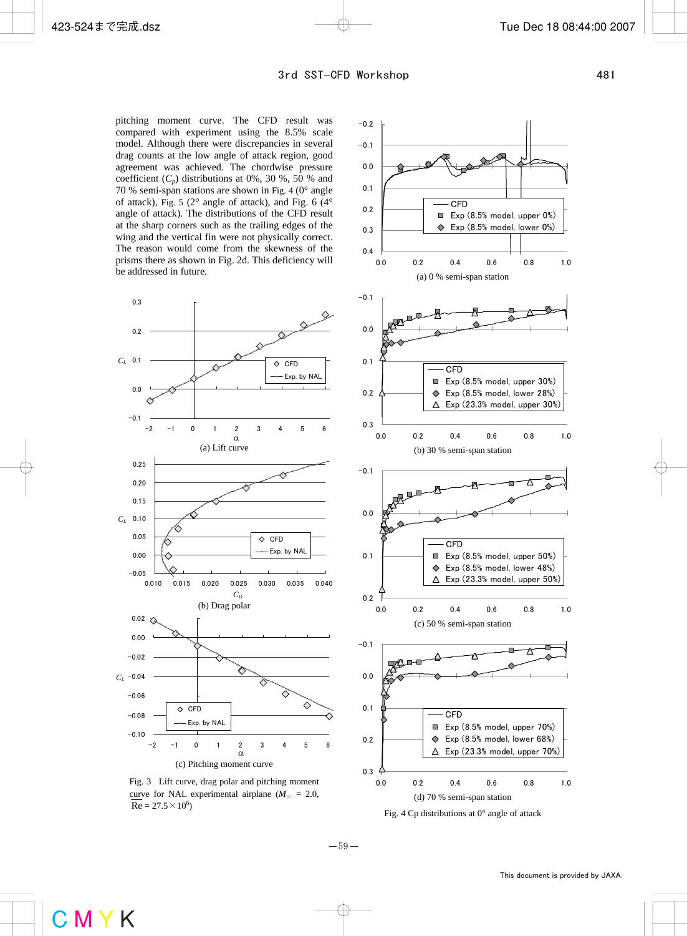pitching moment curve. The CFD result was compared with experiment using the 8.5% scale model. Although there were discrepancies in several drag counts at the low angle of attack region, good agreement was achieved. The chordwise pressure coefficient  $(C_p)$  distributions at 0%, 30 %, 50 % and 70 % semi-span stations are shown in Fig. 4 (0° angle of attack), Fig. 5 (2° angle of attack), and Fig. 6 (4° angle of attack). The distributions of the CFD result at the sharp corners such as the trailing edges of the wing and the vertical fin were not physically correct. The reason would come from the skewness of the prisms there as shown in Fig. 2d. This deficiency will be addressed in future.







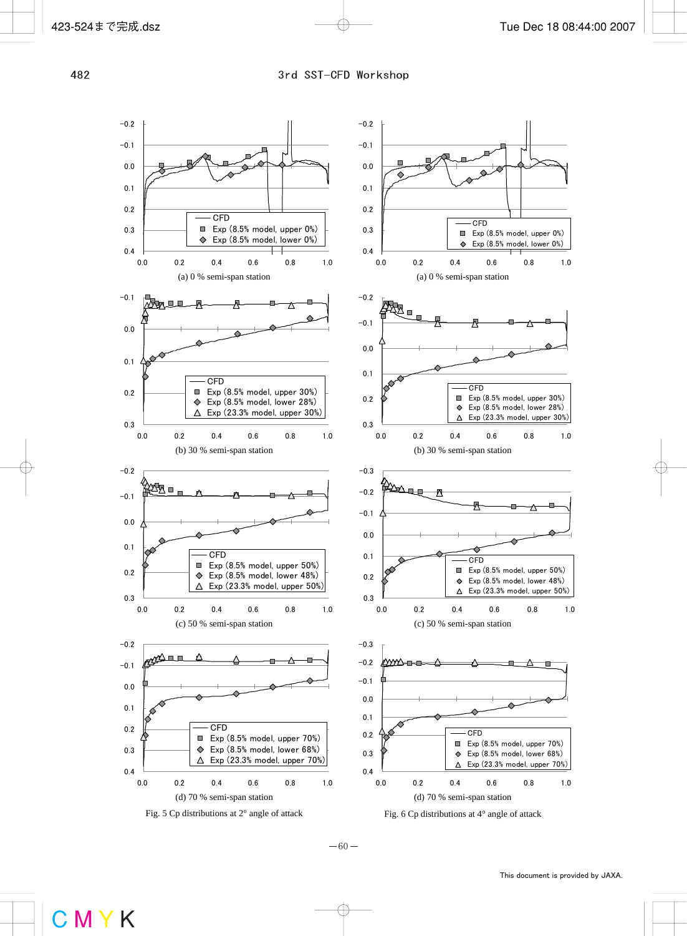